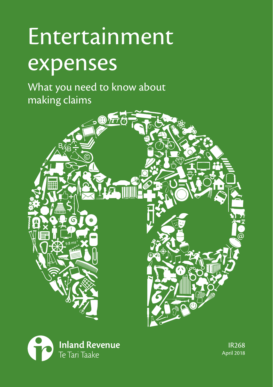# Entertainment expenses

What you need to know about making claims





IR268 April 2018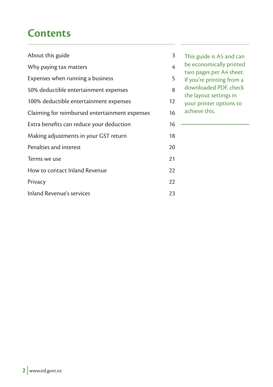# **Contents**

| About this guide                               | 3  |
|------------------------------------------------|----|
| Why paying tax matters                         | 4  |
| Expenses when running a business               | 5  |
| 50% deductible entertainment expenses          | 8  |
| 100% deductible entertainment expenses         | 12 |
| Claiming for reimbursed entertainment expenses | 16 |
| Extra benefits can reduce your deduction       | 16 |
| Making adjustments in your GST return          | 18 |
| Penalties and interest                         | 20 |
| Terms we use                                   | 21 |
| How to contact Inland Revenue                  | 22 |
| Privacy                                        | 22 |
| Inland Revenue's services                      | 23 |

This guide is A5 and can

be economically printed

two pages per A4 sheet.

If you're printing from a

downloaded PDF, check

the layout settings in

your printer options to achieve this.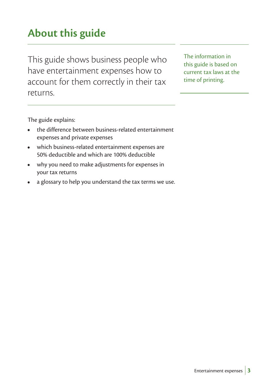# **About this guide**

This guide shows business people who have entertainment expenses how to account for them correctly in their tax returns.

The information in this guide is based on current tax laws at the time of printing.

The guide explains:

- the difference between business-related entertainment expenses and private expenses
- which business-related entertainment expenses are 50% deductible and which are 100% deductible
- why you need to make adjustments for expenses in your tax returns
- a glossary to help you understand the tax terms we use.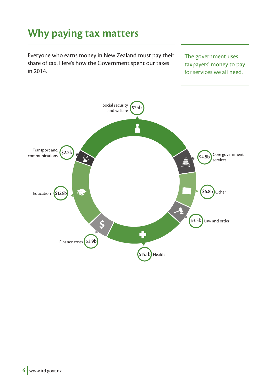# **Why paying tax matters**

Everyone who earns money in New Zealand must pay their share of tax. Here's how the Government spent our taxes in 2014.

The government uses taxpayers' money to pay for services we all need.

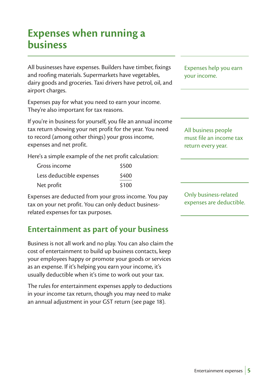# **Expenses when running a business**

All businesses have expenses. Builders have timber, fixings and roofing materials. Supermarkets have vegetables, dairy goods and groceries. Taxi drivers have petrol, oil, and airport charges.

Expenses pay for what you need to earn your income. They're also important for tax reasons.

If you're in business for yourself, you file an annual income tax return showing your net profit for the year. You need to record (among other things) your gross income, expenses and net profit.

Here's a simple example of the net profit calculation:

| Gross income             | \$500 |
|--------------------------|-------|
| Less deductible expenses | \$400 |
| Net profit               | \$100 |

Expenses are deducted from your gross income. You pay tax on your net profit. You can only deduct businessrelated expenses for tax purposes.

# **Entertainment as part of your business**

Business is not all work and no play. You can also claim the cost of entertainment to build up business contacts, keep your employees happy or promote your goods or services as an expense. If it's helping you earn your income, it's usually deductible when it's time to work out your tax.

The rules for entertainment expenses apply to deductions in your income tax return, though you may need to make an annual adjustment in your GST return (see page 18).

Expenses help you earn your income.

All business people must file an income tax return every year.

Only business-related expenses are deductible.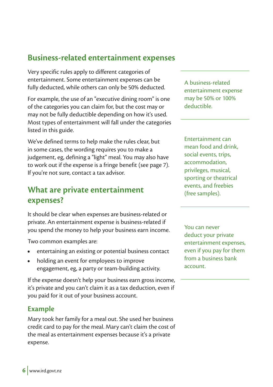### **Business-related entertainment expenses**

Very specific rules apply to different categories of entertainment. Some entertainment expenses can be fully deducted, while others can only be 50% deducted.

For example, the use of an "executive dining room" is one of the categories you can claim for, but the cost may or may not be fully deductible depending on how it's used. Most types of entertainment will fall under the categories listed in this guide.

We've defined terms to help make the rules clear, but in some cases, the wording requires you to make a judgement, eg, defining a "light" meal. You may also have to work out if the expense is a fringe benefit (see page 7). If you're not sure, contact a tax advisor.

# **What are private entertainment expenses?**

It should be clear when expenses are business-related or private. An entertainment expense is business-related if you spend the money to help your business earn income.

Two common examples are:

- entertaining an existing or potential business contact
- holding an event for employees to improve engagement, eg, a party or team-building activity.

If the expense doesn't help your business earn gross income, it's private and you can't claim it as a tax deduction, even if you paid for it out of your business account.

#### **Example**

Mary took her family for a meal out. She used her business credit card to pay for the meal. Mary can't claim the cost of the meal as entertainment expenses because it's a private expense.

A business-related entertainment expense may be 50% or 100% deductible.

Entertainment can mean food and drink, social events, trips, accommodation, privileges, musical, sporting or theatrical events, and freebies (free samples).

You can never deduct your private entertainment expenses, even if you pay for them from a business bank account.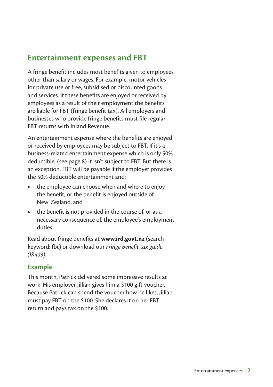# **Entertainment expenses and FBT**

A fringe benefit includes most benefits given to employees other than salary or wages. For example, motor vehicles for private use or free, subsidised or discounted goods and services. If these benefits are enjoyed or received by employees as a result of their employment the benefits are liable for FBT (fringe benefit tax). All employers and businesses who provide fringe benefits must file regular FBT returns with Inland Revenue.

An entertainment expense where the benefits are enjoyed or received by employees may be subject to FBT. If it's a business-related entertainment expense which is only 50% deductible, (see page 8) it isn't subject to FBT. But there is an exception. FBT will be payable if the employer provides the 50% deductible entertainment and:

- the employee can choose when and where to enjoy the benefit, or the benefit is enjoyed outside of New Zealand, and
- the benefit is not provided in the course of, or as a necessary consequence of, the employee's employment duties.

Read about fringe benefits at **www.ird.govt.nz** (search keyword: fbt) or download our *Fringe benefit tax guide (IR409)*.

#### **Example**

This month, Patrick delivered some impressive results at work. His employer Jillian gives him a \$100 gift voucher. Because Patrick can spend the voucher how he likes, Jillian must pay FBT on the \$100. She declares it on her FBT return and pays tax on the \$100.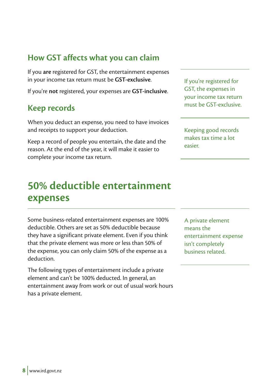# **How GST affects what you can claim**

If you **are** registered for GST, the entertainment expenses in your income tax return must be **GST-exclusive**.

If you're **not** registered, your expenses are **GST-inclusive**.

### **Keep records**

When you deduct an expense, you need to have invoices and receipts to support your deduction.

Keep a record of people you entertain, the date and the reason. At the end of the year, it will make it easier to complete your income tax return.

# **50% deductible entertainment expenses**

Some business-related entertainment expenses are 100% deductible. Others are set as 50% deductible because they have a significant private element. Even if you think that the private element was more or less than 50% of the expense, you can only claim 50% of the expense as a deduction.

The following types of entertainment include a private element and can't be 100% deducted. In general, an entertainment away from work or out of usual work hours has a private element.

If you're registered for GST, the expenses in your income tax return must be GST-exclusive.

Keeping good records makes tax time a lot easier.

A private element means the entertainment expense isn't completely business related.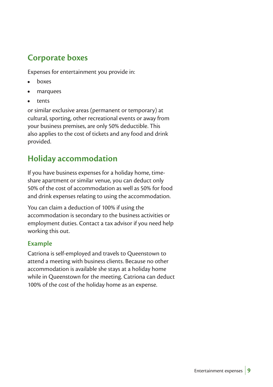# **Corporate boxes**

Expenses for entertainment you provide in:

- boxes
- marquees
- tents

or similar exclusive areas (permanent or temporary) at cultural, sporting, other recreational events or away from your business premises, are only 50% deductible. This also applies to the cost of tickets and any food and drink provided.

# **Holiday accommodation**

If you have business expenses for a holiday home, timeshare apartment or similar venue, you can deduct only 50% of the cost of accommodation as well as 50% for food and drink expenses relating to using the accommodation.

You can claim a deduction of 100% if using the accommodation is secondary to the business activities or employment duties. Contact a tax advisor if you need help working this out.

#### **Example**

Catriona is self-employed and travels to Queenstown to attend a meeting with business clients. Because no other accommodation is available she stays at a holiday home while in Queenstown for the meeting. Catriona can deduct 100% of the cost of the holiday home as an expense.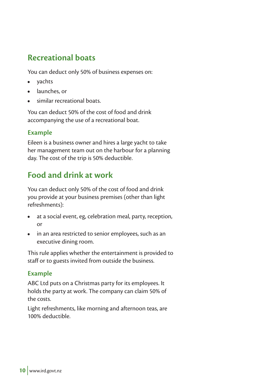# **Recreational boats**

You can deduct only 50% of business expenses on:

- yachts
- launches, or
- similar recreational boats.

You can deduct 50% of the cost of food and drink accompanying the use of a recreational boat.

#### **Example**

Eileen is a business owner and hires a large yacht to take her management team out on the harbour for a planning day. The cost of the trip is 50% deductible.

# **Food and drink at work**

You can deduct only 50% of the cost of food and drink you provide at your business premises (other than light refreshments):

- at a social event, eg, celebration meal, party, reception, or
- in an area restricted to senior employees, such as an executive dining room.

This rule applies whether the entertainment is provided to staff or to guests invited from outside the business.

#### **Example**

ABC Ltd puts on a Christmas party for its employees. It holds the party at work. The company can claim 50% of the costs.

Light refreshments, like morning and afternoon teas, are 100% deductible.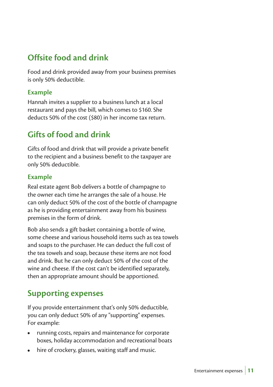# **Offsite food and drink**

Food and drink provided away from your business premises is only 50% deductible.

#### **Example**

Hannah invites a supplier to a business lunch at a local restaurant and pays the bill, which comes to \$160. She deducts 50% of the cost (\$80) in her income tax return.

# **Gifts of food and drink**

Gifts of food and drink that will provide a private benefit to the recipient and a business benefit to the taxpayer are only 50% deductible.

#### **Example**

Real estate agent Bob delivers a bottle of champagne to the owner each time he arranges the sale of a house. He can only deduct 50% of the cost of the bottle of champagne as he is providing entertainment away from his business premises in the form of drink.

Bob also sends a gift basket containing a bottle of wine, some cheese and various household items such as tea towels and soaps to the purchaser. He can deduct the full cost of the tea towels and soap, because these items are not food and drink. But he can only deduct 50% of the cost of the wine and cheese. If the cost can't be identified separately, then an appropriate amount should be apportioned.

### **Supporting expenses**

If you provide entertainment that's only 50% deductible, you can only deduct 50% of any "supporting" expenses. For example:

- running costs, repairs and maintenance for corporate boxes, holiday accommodation and recreational boats
- hire of crockery, glasses, waiting staff and music.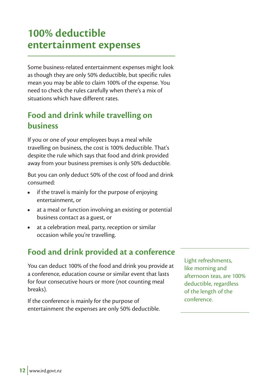# **100% deductible entertainment expenses**

Some business-related entertainment expenses might look as though they are only 50% deductible, but specific rules mean you may be able to claim 100% of the expense. You need to check the rules carefully when there's a mix of situations which have different rates.

# **Food and drink while travelling on business**

If you or one of your employees buys a meal while travelling on business, the cost is 100% deductible. That's despite the rule which says that food and drink provided away from your business premises is only 50% deductible.

But you can only deduct 50% of the cost of food and drink consumed:

- if the travel is mainly for the purpose of enjoying entertainment, or
- at a meal or function involving an existing or potential business contact as a guest, or
- at a celebration meal, party, reception or similar occasion while you're travelling.

# **Food and drink provided at a conference**

You can deduct 100% of the food and drink you provide at a conference, education course or similar event that lasts for four consecutive hours or more (not counting meal breaks).

If the conference is mainly for the purpose of entertainment the expenses are only 50% deductible.

Light refreshments, like morning and afternoon teas, are 100% deductible, regardless of the length of the conference.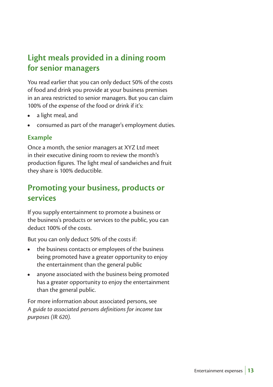# **Light meals provided in a dining room for senior managers**

You read earlier that you can only deduct 50% of the costs of food and drink you provide at your business premises in an area restricted to senior managers. But you can claim 100% of the expense of the food or drink if it's:

- a light meal, and
- consumed as part of the manager's employment duties.

#### **Example**

Once a month, the senior managers at XYZ Ltd meet in their executive dining room to review the month's production figures. The light meal of sandwiches and fruit they share is 100% deductible.

# **Promoting your business, products or services**

If you supply entertainment to promote a business or the business's products or services to the public, you can deduct 100% of the costs.

But you can only deduct 50% of the costs if:

- the business contacts or employees of the business being promoted have a greater opportunity to enjoy the entertainment than the general public
- anyone associated with the business being promoted has a greater opportunity to enjoy the entertainment than the general public.

For more information about associated persons, see *A guide to associated persons definitions for income tax purposes (IR 620).*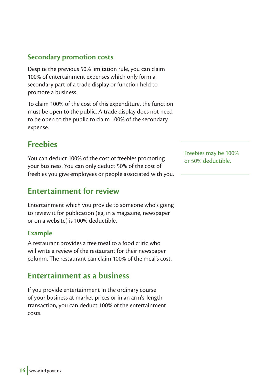#### **Secondary promotion costs**

Despite the previous 50% limitation rule, you can claim 100% of entertainment expenses which only form a secondary part of a trade display or function held to promote a business.

To claim 100% of the cost of this expenditure, the function must be open to the public. A trade display does not need to be open to the public to claim 100% of the secondary expense.

# **Freebies**

You can deduct 100% of the cost of freebies promoting your business. You can only deduct 50% of the cost of freebies you give employees or people associated with you.

### **Entertainment for review**

Entertainment which you provide to someone who's going to review it for publication (eg, in a magazine, newspaper or on a website) is 100% deductible.

#### **Example**

A restaurant provides a free meal to a food critic who will write a review of the restaurant for their newspaper column. The restaurant can claim 100% of the meal's cost.

### **Entertainment as a business**

If you provide entertainment in the ordinary course of your business at market prices or in an arm's-length transaction, you can deduct 100% of the entertainment costs.

Freebies may be 100% or 50% deductible.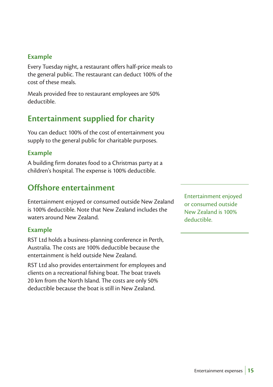#### **Example**

Every Tuesday night, a restaurant offers half-price meals to the general public. The restaurant can deduct 100% of the cost of these meals.

Meals provided free to restaurant employees are 50% deductible.

### **Entertainment supplied for charity**

You can deduct 100% of the cost of entertainment you supply to the general public for charitable purposes.

#### **Example**

A building firm donates food to a Christmas party at a children's hospital. The expense is 100% deductible.

# **Offshore entertainment**

Entertainment enjoyed or consumed outside New Zealand is 100% deductible. Note that New Zealand includes the waters around New Zealand.

#### **Example**

RST Ltd holds a business-planning conference in Perth, Australia. The costs are 100% deductible because the entertainment is held outside New Zealand.

RST Ltd also provides entertainment for employees and clients on a recreational fishing boat. The boat travels 20 km from the North Island. The costs are only 50% deductible because the boat is still in New Zealand.

Entertainment enjoyed or consumed outside New Zealand is 100% deductible.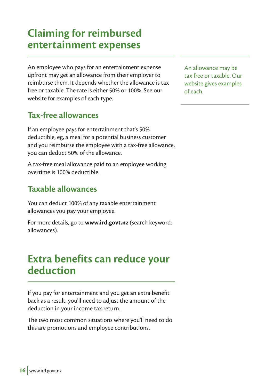# **Claiming for reimbursed entertainment expenses**

An employee who pays for an entertainment expense upfront may get an allowance from their employer to reimburse them. It depends whether the allowance is tax free or taxable. The rate is either 50% or 100%. See our website for examples of each type.

# **Tax-free allowances**

If an employee pays for entertainment that's 50% deductible, eg, a meal for a potential business customer and you reimburse the employee with a tax-free allowance, you can deduct 50% of the allowance.

A tax-free meal allowance paid to an employee working overtime is 100% deductible.

# **Taxable allowances**

You can deduct 100% of any taxable entertainment allowances you pay your employee.

For more details, go to **www.ird.govt.nz** (search keyword: allowances).

# **Extra benefits can reduce your deduction**

If you pay for entertainment and you get an extra benefit back as a result, you'll need to adjust the amount of the deduction in your income tax return.

The two most common situations where you'll need to do this are promotions and employee contributions.

An allowance may be tax free or taxable. Our website gives examples of each.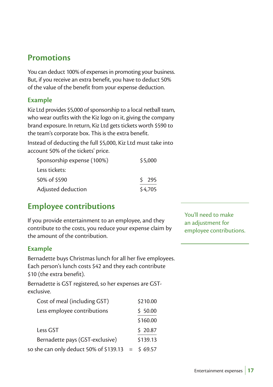# **Promotions**

You can deduct 100% of expenses in promoting your business. But, if you receive an extra benefit, you have to deduct 50% of the value of the benefit from your expense deduction.

#### **Example**

Kiz Ltd provides \$5,000 of sponsorship to a local netball team, who wear outfits with the Kiz logo on it, giving the company brand exposure. In return, Kiz Ltd gets tickets worth \$590 to the team's corporate box. This is the extra benefit.

Instead of deducting the full \$5,000, Kiz Ltd must take into account 50% of the tickets' price.

| Sponsorship expense (100%) | \$5,000 |
|----------------------------|---------|
| Less tickets:              |         |
| 50% of \$590               | 5295    |
| Adjusted deduction         | \$4,705 |

# **Employee contributions**

If you provide entertainment to an employee, and they contribute to the costs, you reduce your expense claim by the amount of the contribution.

#### **Example**

Bernadette buys Christmas lunch for all her five employees. Each person's lunch costs \$42 and they each contribute \$10 (the extra benefit).

Bernadette is GST registered, so her expenses are GSTexclusive.

| Cost of meal (including GST)           | \$210.00     |
|----------------------------------------|--------------|
| Less employee contributions            | \$50.00      |
|                                        | \$160.00     |
| Less GST                               | \$20.87      |
| Bernadette pays (GST-exclusive)        | \$139.13     |
| so she can only deduct 50% of \$139.13 | $=$ \$ 69.57 |

You'll need to make an adjustment for employee contributions.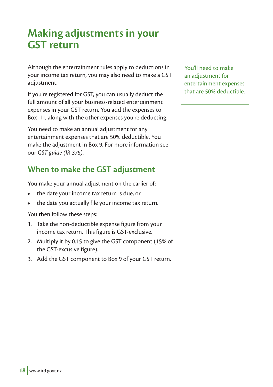# **Making adjustments in your GST return**

Although the entertainment rules apply to deductions in your income tax return, you may also need to make a GST adjustment.

If you're registered for GST, you can usually deduct the full amount of all your business-related entertainment expenses in your GST return. You add the expenses to Box 11, along with the other expenses you're deducting.

You need to make an annual adjustment for any entertainment expenses that are 50% deductible. You make the adjustment in Box 9. For more information see our *GST guide (IR 375)*.

# **When to make the GST adjustment**

You make your annual adjustment on the earlier of:

- the date your income tax return is due, or
- the date you actually file your income tax return.

You then follow these steps:

- 1. Take the non-deductible expense figure from your income tax return. This figure is GST-exclusive.
- 2. Multiply it by 0.15 to give the GST component (15% of the GST-excusive figure).
- 3. Add the GST component to Box 9 of your GST return.

You'll need to make an adjustment for entertainment expenses that are 50% deductible.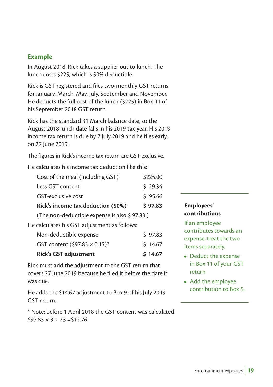#### **Example**

In August 2018, Rick takes a supplier out to lunch. The lunch costs \$225, which is 50% deductible.

Rick is GST registered and files two-monthly GST returns for January, March, May, July, September and November. He deducts the full cost of the lunch (\$225) in Box 11 of his September 2018 GST return.

Rick has the standard 31 March balance date, so the August 2018 lunch date falls in his 2019 tax year. His 2019 income tax return is due by 7 July 2019 and he files early, on 27 June 2019.

The figures in Rick's income tax return are GST-exclusive.

He calculates his income tax deduction like this:

| Cost of the meal (including GST)                              | \$225.00 |
|---------------------------------------------------------------|----------|
| Less GST content                                              | \$29.34  |
| GST-exclusive cost                                            | \$195.66 |
| Rick's income tax deduction (50%)                             | \$97.83  |
| (The non-deductible expense is also \$97.83.)                 |          |
| and and a search to CCT and the second and such a faith and a |          |

He calculates his GST adjustment as follows:

| Rick's GST adjustment                | \$14.67    |
|--------------------------------------|------------|
| GST content $(597.83 \times 0.15)^*$ | $5\,14.67$ |
| Non-deductible expense               | 597.83     |

Rick must add the adjustment to the GST return that covers 27 June 2019 because he filed it before the date it was due.

He adds the \$14.67 adjustment to Box 9 of his July 2019 GST return.

\* Note: before 1 April 2018 the GST content was calculated  $$97.83 \times 3 \div 23 = $12.76$ 

#### **Employees' contributions**

If an employee contributes towards an expense, treat the two items separately.

- Deduct the expense in Box 11 of your GST return.
- Add the employee contribution to Box 5.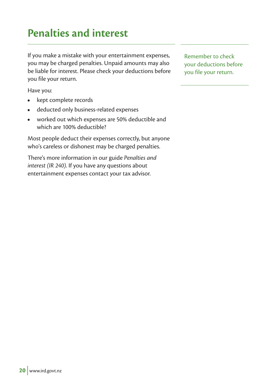# **20** www.ird.govt.nz

# **Penalties and interest**

If you make a mistake with your entertainment expenses, you may be charged penalties. Unpaid amounts may also be liable for interest. Please check your deductions before you file your return.

Have you:

- kept complete records
- deducted only business-related expenses
- worked out which expenses are 50% deductible and which are 100% deductible?

Most people deduct their expenses correctly, but anyone who's careless or dishonest may be charged penalties.

There's more information in our guide *Penalties and interest (IR 240)*. If you have any questions about entertainment expenses contact your tax advisor.

Remember to check your deductions before you file your return.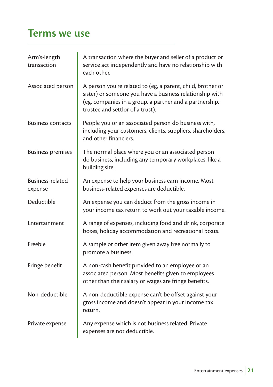# **Terms we use**

| Arm's-length<br>transaction | A transaction where the buyer and seller of a product or<br>service act independently and have no relationship with<br>each other.                                                                                     |
|-----------------------------|------------------------------------------------------------------------------------------------------------------------------------------------------------------------------------------------------------------------|
| Associated person           | A person you're related to (eg, a parent, child, brother or<br>sister) or someone you have a business relationship with<br>(eg, companies in a group, a partner and a partnership,<br>trustee and settlor of a trust). |
| <b>Business contacts</b>    | People you or an associated person do business with,<br>including your customers, clients, suppliers, shareholders,<br>and other financiers.                                                                           |
| <b>Business premises</b>    | The normal place where you or an associated person<br>do business, including any temporary workplaces, like a<br>building site.                                                                                        |
| Business-related<br>expense | An expense to help your business earn income. Most<br>business-related expenses are deductible.                                                                                                                        |
| Deductible                  | An expense you can deduct from the gross income in<br>your income tax return to work out your taxable income.                                                                                                          |
| Entertainment               | A range of expenses, including food and drink, corporate<br>boxes, holiday accommodation and recreational boats.                                                                                                       |
| Freebie                     | A sample or other item given away free normally to<br>promote a business.                                                                                                                                              |
| Fringe benefit              | A non-cash benefit provided to an employee or an<br>associated person. Most benefits given to employees<br>other than their salary or wages are fringe benefits.                                                       |
| Non-deductible              | A non-deductible expense can't be offset against your<br>gross income and doesn't appear in your income tax<br>return.                                                                                                 |
| Private expense             | Any expense which is not business related. Private<br>expenses are not deductible.                                                                                                                                     |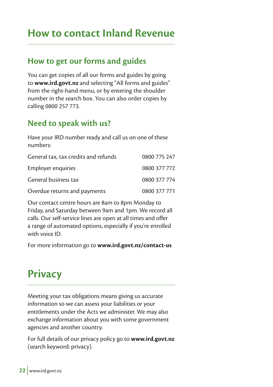# **How to contact Inland Revenue**

### **How to get our forms and guides**

You can get copies of all our forms and guides by going to **www.ird.govt.nz** and selecting "All forms and guides" from the right-hand menu, or by entering the shoulder number in the search box. You can also order copies by calling 0800 257 773.

# **Need to speak with us?**

Have your IRD number ready and call us on one of these numbers:

| General tax, tax credits and refunds | 0800 775 247 |
|--------------------------------------|--------------|
| Employer enguiries                   | 0800 377 772 |
| General business tax                 | 0800 377 774 |
| Overdue returns and payments         | 0800 377 771 |

Our contact centre hours are 8am to 8pm Monday to Friday, and Saturday between 9am and 1pm. We record all calls. Our self-service lines are open at all times and offer a range of automated options, especially if you're enrolled with voice ID.

For more information go to **www.ird.govt.nz/contact-us**

# **Privacy**

Meeting your tax obligations means giving us accurate information so we can assess your liabilities or your entitlements under the Acts we administer. We may also exchange information about you with some government agencies and another country.

For full details of our privacy policy go to **www.ird.govt.nz** (search keyword: privacy).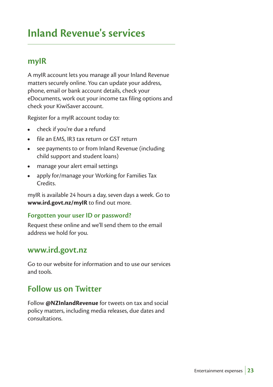# **Inland Revenue's services**

### **myIR**

A myIR account lets you manage all your Inland Revenue matters securely online. You can update your address, phone, email or bank account details, check your eDocuments, work out your income tax filing options and check your KiwiSaver account.

Register for a myIR account today to:

- check if you're due a refund
- file an EMS, IR3 tax return or GST return
- see payments to or from Inland Revenue (including child support and student loans)
- manage your alert email settings
- apply for/manage your Working for Families Tax Credits.

myIR is available 24 hours a day, seven days a week. Go to **www.ird.govt.nz/myIR** to find out more.

#### **Forgotten your user ID or password?**

Request these online and we'll send them to the email address we hold for you.

#### **www.ird.govt.nz**

Go to our website for information and to use our services and tools.

### **Follow us on Twitter**

Follow **@NZInlandRevenue** for tweets on tax and social policy matters, including media releases, due dates and consultations.